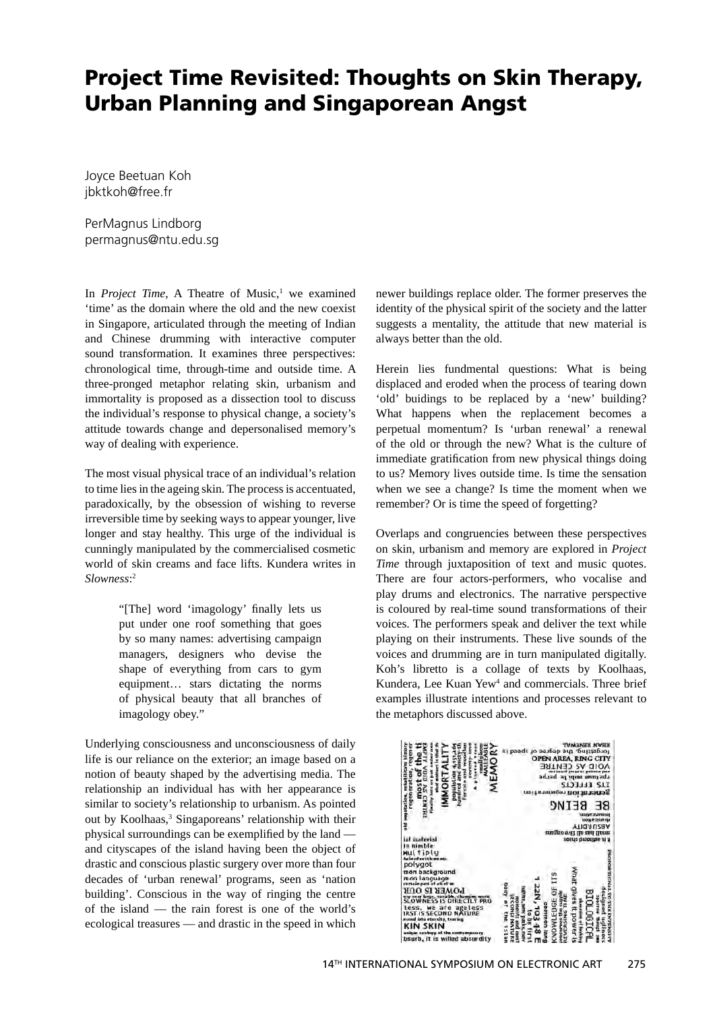## **Project Time Revisited: Thoughts on Skin Therapy, Urban Planning and Singaporean Angst**

Joyce Beetuan Koh jbktkoh@free.fr

PerMagnus Lindborg permagnus@ntu.edu.sg

In *Project Time*, A Theatre of Music,<sup>1</sup> we examined 'time' as the domain where the old and the new coexist in Singapore, articulated through the meeting of Indian and Chinese drumming with interactive computer sound transformation. It examines three perspectives: chronological time, through-time and outside time. A three-pronged metaphor relating skin, urbanism and immortality is proposed as a dissection tool to discuss the individual's response to physical change, a society's attitude towards change and depersonalised memory's way of dealing with experience.

The most visual physical trace of an individual's relation to time lies in the ageing skin. The process is accentuated, paradoxically, by the obsession of wishing to reverse irreversible time by seeking ways to appear younger, live longer and stay healthy. This urge of the individual is cunningly manipulated by the commercialised cosmetic world of skin creams and face lifts. Kundera writes in *Slowness*: 2

> "[The] word 'imagology' finally lets us put under one roof something that goes by so many names: advertising campaign managers, designers who devise the shape of everything from cars to gym equipment… stars dictating the norms of physical beauty that all branches of imagology obey."

Underlying consciousness and unconsciousness of daily life is our reliance on the exterior; an image based on a notion of beauty shaped by the advertising media. The relationship an individual has with her appearance is similar to society's relationship to urbanism. As pointed out by Koolhaas,<sup>3</sup> Singaporeans' relationship with their physical surroundings can be exemplified by the land  $$ and cityscapes of the island having been the object of drastic and conscious plastic surgery over more than four decades of 'urban renewal' programs, seen as 'nation building'. Conscious in the way of ringing the centre of the island — the rain forest is one of the world's ecological treasures — and drastic in the speed in which newer buildings replace older. The former preserves the identity of the physical spirit of the society and the latter suggests a mentality, the attitude that new material is always better than the old.

Herein lies fundmental questions: What is being displaced and eroded when the process of tearing down 'old' buidings to be replaced by a 'new' building? What happens when the replacement becomes a perpetual momentum? Is 'urban renewal' a renewal of the old or through the new? What is the culture of immediate gratification from new physical things doing to us? Memory lives outside time. Is time the sensation when we see a change? Is time the moment when we remember? Or is time the speed of forgetting?

Overlaps and congruencies between these perspectives on skin, urbanism and memory are explored in *Project Time* through juxtaposition of text and music quotes. There are four actors-performers, who vocalise and play drums and electronics. The narrative perspective is coloured by real-time sound transformations of their voices. The performers speak and deliver the text while playing on their instruments. These live sounds of the voices and drumming are in turn manipulated digitally. Koh's libretto is a collage of texts by Koolhaas, Kundera, Lee Kuan Yew<sup>4</sup> and commercials. Three brief examples illustrate intentions and processes relevant to the metaphors discussed above.